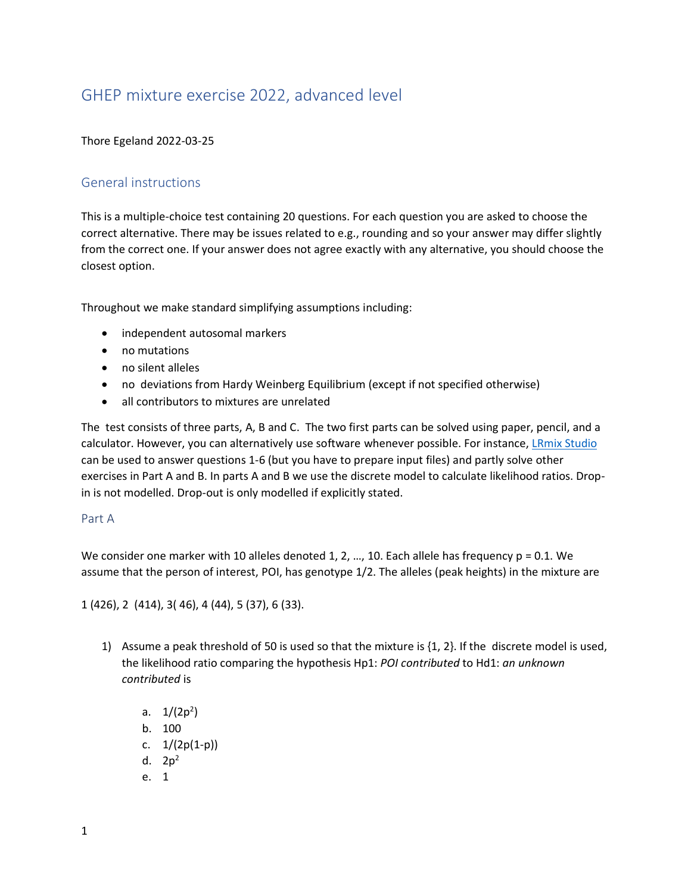# GHEP mixture exercise 2022, advanced level

## Thore Egeland 2022-03-25

# General instructions

This is a multiple-choice test containing 20 questions. For each question you are asked to choose the correct alternative. There may be issues related to e.g., rounding and so your answer may differ slightly from the correct one. If your answer does not agree exactly with any alternative, you should choose the closest option.

Throughout we make standard simplifying assumptions including:

- independent autosomal markers
- no mutations
- no silent alleles
- no deviations from Hardy Weinberg Equilibrium (except if not specified otherwise)
- all contributors to mixtures are unrelated

The test consists of three parts, A, B and C. The two first parts can be solved using paper, pencil, and a calculator. However, you can alternatively use software whenever possible. For instance, [LRmix Studio](https://github.com/smartrank/lrmixstudio/releases/download/v2.1.5/lrmixstudio-2.1.5-CommunityEdition-distribution.zip)  can be used to answer questions 1-6 (but you have to prepare input files) and partly solve other exercises in Part A and B. In parts A and B we use the discrete model to calculate likelihood ratios. Dropin is not modelled. Drop-out is only modelled if explicitly stated.

### Part A

We consider one marker with 10 alleles denoted 1, 2, ..., 10. Each allele has frequency  $p = 0.1$ . We assume that the person of interest, POI, has genotype 1/2. The alleles (peak heights) in the mixture are

1 (426), 2 (414), 3( 46), 4 (44), 5 (37), 6 (33).

- 1) Assume a peak threshold of 50 is used so that the mixture is {1, 2}. If the discrete model is used, the likelihood ratio comparing the hypothesis Hp1: *POI contributed* to Hd1: *an unknown contributed* is
	- a.  $1/(2p^2)$ b. 100 c.  $1/(2p(1-p))$ d.  $2p^2$
	- e. 1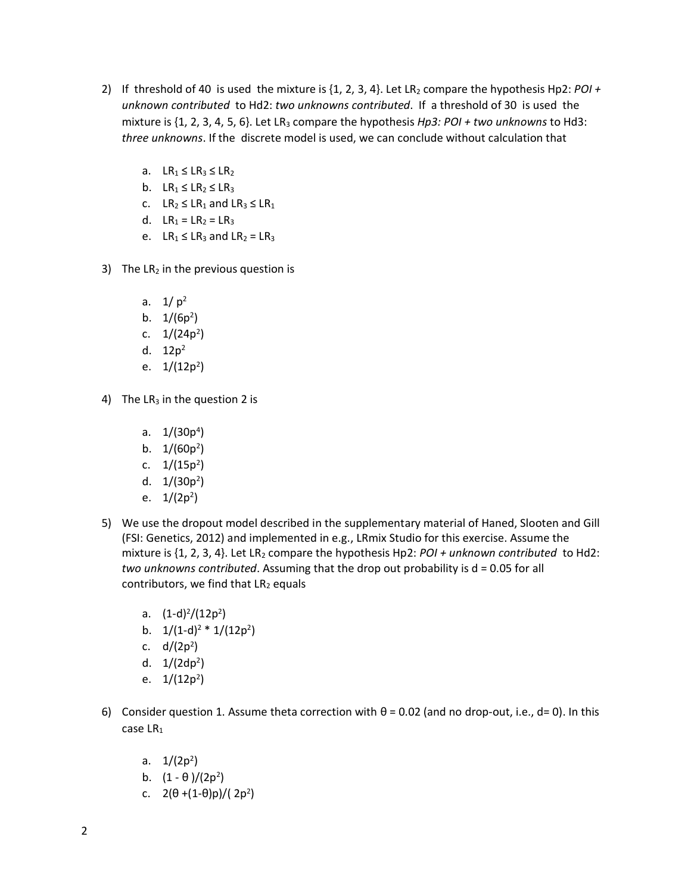- 2) If threshold of 40 is used the mixture is  $\{1, 2, 3, 4\}$ . Let LR<sub>2</sub> compare the hypothesis Hp2: *POI* + *unknown contributed* to Hd2: *two unknowns contributed*. If a threshold of 30 is used the mixture is {1, 2, 3, 4, 5, 6}. Let LR<sub>3</sub> compare the hypothesis *Hp3: POI + two unknowns* to Hd3: *three unknowns*. If the discrete model is used, we can conclude without calculation that
	- a.  $LR_1 \leq LR_3 \leq LR_2$
	- b.  $LR_1 \leq LR_2 \leq LR_3$
	- c.  $LR_2 \leq LR_1$  and  $LR_3 \leq LR_1$
	- d.  $LR_1 = LR_2 = LR_3$
	- e.  $LR_1 \leq LR_3$  and  $LR_2 = LR_3$
- 3) The  $LR_2$  in the previous question is
	- a.  $1/p^2$
	- b.  $1/(6p^2)$
	- c.  $1/(24p^2)$
	- d.  $12p^2$
	- e. 1/(12p<sup>2</sup>)
- 4) The  $LR_3$  in the question 2 is
	- a. 1/(30p<sup>4</sup>)
	- b.  $1/(60p^2)$
	- c.  $1/(15p^2)$
	- d. 1/(30p<sup>2</sup>)
	- e. 1/(2p<sup>2</sup>)
- 5) We use the dropout model described in the supplementary material of Haned, Slooten and Gill (FSI: Genetics, 2012) and implemented in e.g., LRmix Studio for this exercise. Assume the mixture is {1, 2, 3, 4}. Let LR<sup>2</sup> compare the hypothesis Hp2: *POI + unknown contributed* to Hd2: *two unknowns contributed*. Assuming that the drop out probability is d = 0.05 for all contributors, we find that  $LR_2$  equals
	- a.  $(1-d)^2/(12p^2)$
	- b.  $1/(1-d)^2 * 1/(12p^2)$
	- c. d/(2p<sup>2</sup> )
	- d. 1/(2dp<sup>2</sup> )
	- e. 1/(12p<sup>2</sup>)
- 6) Consider question 1. Assume theta correction with  $\theta$  = 0.02 (and no drop-out, i.e., d= 0). In this case LR<sub>1</sub>
	- a.  $1/(2p^2)$
	- b.  $(1 \theta)/(2p^2)$
	- c.  $2(\theta + (1-\theta)p)/(2p^2)$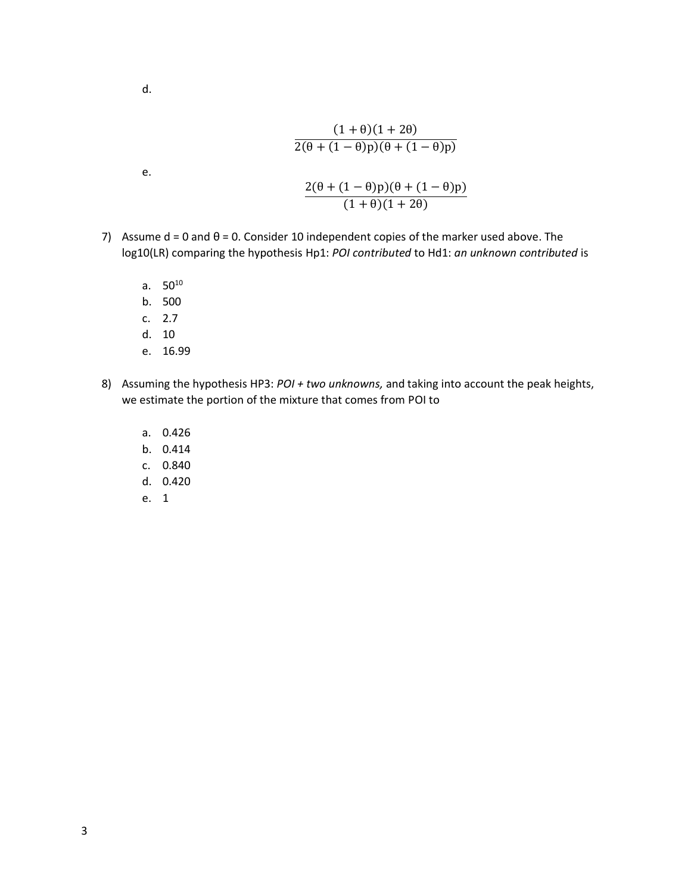$$
\mathsf{d}.
$$

e.

$$
\frac{(1+\theta)(1+2\theta)}{2(\theta+(1-\theta)p)(\theta+(1-\theta)p)}
$$

$$
\frac{2(\theta+(1-\theta)p)(\theta+(1-\theta)p)}{(1+\theta)(1+2\theta)}
$$

- 7) Assume  $d = 0$  and  $\theta = 0$ . Consider 10 independent copies of the marker used above. The log10(LR) comparing the hypothesis Hp1: *POI contributed* to Hd1: *an unknown contributed* is
	- a.  $50^{10}$
	- b. 500
	- c. 2.7
	- d. 10
	- e. 16.99
- 8) Assuming the hypothesis HP3: *POI + two unknowns,* and taking into account the peak heights, we estimate the portion of the mixture that comes from POI to
	- a. 0.426
	- b. 0.414
	- c. 0.840
	- d. 0.420
	- e. 1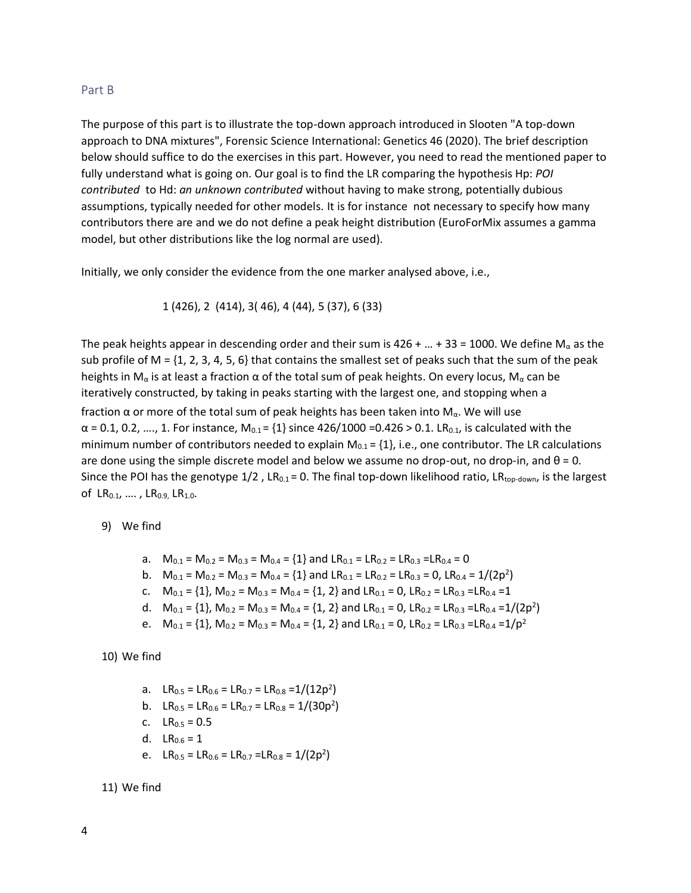#### Part B

The purpose of this part is to illustrate the top-down approach introduced in Slooten "A top-down approach to DNA mixtures", Forensic Science International: Genetics 46 (2020). The brief description below should suffice to do the exercises in this part. However, you need to read the mentioned paper to fully understand what is going on. Our goal is to find the LR comparing the hypothesis Hp: *POI contributed* to Hd: *an unknown contributed* without having to make strong, potentially dubious assumptions, typically needed for other models. It is for instance not necessary to specify how many contributors there are and we do not define a peak height distribution (EuroForMix assumes a gamma model, but other distributions like the log normal are used).

Initially, we only consider the evidence from the one marker analysed above, i.e.,

$$
1 (426), 2 (414), 3 (46), 4 (44), 5 (37), 6 (33)
$$

The peak heights appear in descending order and their sum is 426 + ... + 33 = 1000. We define  $M_{\alpha}$  as the sub profile of M =  $\{1, 2, 3, 4, 5, 6\}$  that contains the smallest set of peaks such that the sum of the peak heights in M<sub>α</sub> is at least a fraction  $\alpha$  of the total sum of peak heights. On every locus, M<sub>α</sub> can be iteratively constructed, by taking in peaks starting with the largest one, and stopping when a fraction α or more of the total sum of peak heights has been taken into  $M<sub>α</sub>$ . We will use  $\alpha$  = 0.1, 0.2, ..., 1. For instance, M<sub>0.1</sub> = {1} since 426/1000 =0.426 > 0.1. LR<sub>0.1</sub>, is calculated with the minimum number of contributors needed to explain  $M_{0.1} = \{1\}$ , i.e., one contributor. The LR calculations are done using the simple discrete model and below we assume no drop-out, no drop-in, and  $\theta = 0$ . Since the POI has the genotype  $1/2$ , LR<sub>0.1</sub> = 0. The final top-down likelihood ratio, LR<sub>top-down</sub>, is the largest of  $LR_{0.1}, \ldots$ ,  $LR_{0.9}$ ,  $LR_{1.0}$ .

#### 9) We find

- a.  $M_{0.1} = M_{0.2} = M_{0.3} = M_{0.4} = \{1\}$  and  $LR_{0.1} = LR_{0.2} = LR_{0.3} = LR_{0.4} = 0$
- b.  $M_{0.1} = M_{0.2} = M_{0.3} = M_{0.4} = \{1\}$  and  $LR_{0.1} = LR_{0.2} = LR_{0.3} = 0$ ,  $LR_{0.4} = 1/(2p^2)$
- c.  $M_{0.1} = \{1\}$ ,  $M_{0.2} = M_{0.3} = M_{0.4} = \{1, 2\}$  and  $LR_{0.1} = 0$ ,  $LR_{0.2} = LR_{0.3} = LR_{0.4} = 1$
- d.  $M_{0.1} = \{1\}$ ,  $M_{0.2} = M_{0.3} = M_{0.4} = \{1, 2\}$  and  $LR_{0.1} = 0$ ,  $LR_{0.2} = LR_{0.3} = LR_{0.4} = 1/(2p^2)$
- e.  $M_{0.1} = \{1\}$ ,  $M_{0.2} = M_{0.3} = M_{0.4} = \{1, 2\}$  and  $LR_{0.1} = 0$ ,  $LR_{0.2} = LR_{0.3} = LR_{0.4} = 1/p^2$

```
10) We find
```
- a. LR<sub>0.5</sub> = LR<sub>0.6</sub> = LR<sub>0.7</sub> = LR<sub>0.8</sub> = 1/(12p<sup>2</sup>)
- b.  $LR_{0.5} = LR_{0.6} = LR_{0.7} = LR_{0.8} = 1/(30p^2)$
- c.  $LR_{0.5} = 0.5$
- d.  $LR_{0.6} = 1$
- e. LR<sub>0.5</sub> = LR<sub>0.6</sub> = LR<sub>0.7</sub> =LR<sub>0.8</sub> = 1/(2p<sup>2</sup>)

11) We find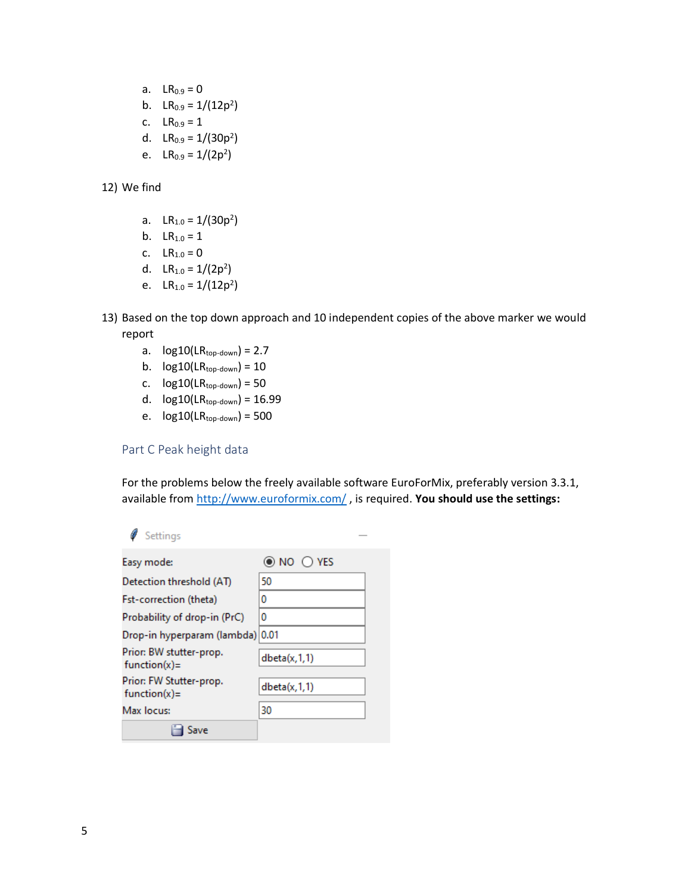- a.  $LR_{0.9} = 0$
- b.  $LR_{0.9} = 1/(12p^2)$
- c.  $LR_{0.9} = 1$
- d.  $LR_{0.9} = 1/(30p^2)$
- e. LR<sub>0.9</sub> =  $1/(2p^2)$
- 12) We find
	- a.  $LR_{1.0} = 1/(30p^2)$
	- b.  $LR_{1.0} = 1$
	- c.  $LR_{1.0} = 0$
	- d.  $LR_{1.0} = 1/(2p^2)$
	- e. LR<sub>1.0</sub> =  $1/(12p^2)$
- 13) Based on the top down approach and 10 independent copies of the above marker we would report
	- a.  $log10$ (LR<sub>top-down</sub>) = 2.7
	- b.  $log10(LR_{top-down}) = 10$
	- c.  $log10(LR_{top-down}) = 50$
	- d.  $log10(LR_{top-down}) = 16.99$
	- e.  $log10$ (LR<sub>top-down</sub>) = 500

## Part C Peak height data

For the problems below the freely available software EuroForMix, preferably version 3.3.1, available from<http://www.euroformix.com/> , is required. **You should use the settings:**

## Settings

| Easy mode:                                 | $\odot$ NO $\odot$ Yes |
|--------------------------------------------|------------------------|
| Detection threshold (AT)                   | 50                     |
| <b>Fst-correction (theta)</b>              | 0                      |
| Probability of drop-in (PrC)               | 0                      |
| Drop-in hyperparam (lambda) 0.01           |                        |
| Prior: BW stutter-prop.<br>$function(x) =$ | dbeta(x,1,1)           |
| Prior: FW Stutter-prop.<br>$function(x) =$ | dbeta(x,1,1)           |
| Max locus:                                 | 30                     |
|                                            |                        |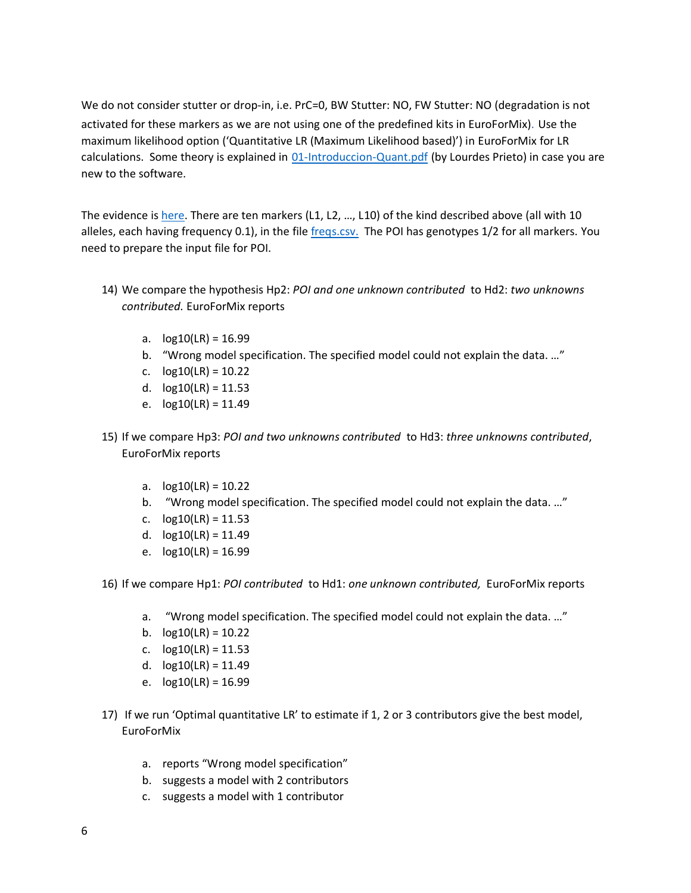We do not consider stutter or drop-in, i.e. PrC=0, BW Stutter: NO, FW Stutter: NO (degradation is not activated for these markers as we are not using one of the predefined kits in EuroForMix). Use the maximum likelihood option ('Quantitative LR (Maximum Likelihood based)') in EuroForMix for LR calculations. Some theory is explained in [01-Introduccion-Quant.pdf](http://familias.name/ghep21/01-Introduccion-Quant.pdf) (by Lourdes Prieto) in case you are new to the software.

The evidence is [here.](https://familias.name/ghep22/simEvidence.csv) There are ten markers (L1, L2, ..., L10) of the kind described above (all with 10 alleles, each having frequency 0.1), in the fil[e freqs.csv.](https://familias.name/ghep22/freqs.csv) The POI has genotypes 1/2 for all markers. You need to prepare the input file for POI.

- 14) We compare the hypothesis Hp2: *POI and one unknown contributed* to Hd2: *two unknowns contributed.* EuroForMix reports
	- a.  $log10(LR) = 16.99$
	- b. "Wrong model specification. The specified model could not explain the data. …"
	- c.  $log10(LR) = 10.22$
	- d.  $log10(LR) = 11.53$
	- e.  $log10(LR) = 11.49$
- 15) If we compare Hp3: *POI and two unknowns contributed* to Hd3: *three unknowns contributed*, EuroForMix reports
	- a.  $log10(LR) = 10.22$
	- b. "Wrong model specification. The specified model could not explain the data. …"
	- c.  $log10(LR) = 11.53$
	- d.  $log10(LR) = 11.49$
	- e.  $log10(LR) = 16.99$

16) If we compare Hp1: *POI contributed* to Hd1: *one unknown contributed,* EuroForMix reports

- a. "Wrong model specification. The specified model could not explain the data. …"
- b.  $log10(LR) = 10.22$
- c.  $log10(LR) = 11.53$
- d.  $log10(LR) = 11.49$
- e.  $log10(LR) = 16.99$
- 17) If we run 'Optimal quantitative LR' to estimate if 1, 2 or 3 contributors give the best model, EuroForMix
	- a. reports "Wrong model specification"
	- b. suggests a model with 2 contributors
	- c. suggests a model with 1 contributor